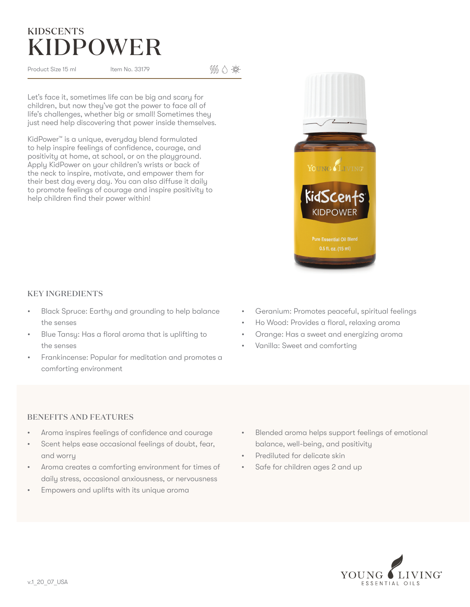## **KIDPOWEI KIDSCENTS**

Product Size 15 ml Item No. 33179

 $\mathbb{S}\setminus\mathbb{S}$  : Q:

Let's face it, sometimes life can be big and scary for children, but now they've got the power to face all of life's challenges, whether big or small! Sometimes they just need help discovering that power inside themselves.

KidPower™ is a unique, everyday blend formulated to help inspire feelings of confidence, courage, and positivity at home, at school, or on the playground. Apply KidPower on your children's wrists or back of the neck to inspire, motivate, and empower them for their best day every day. You can also diffuse it daily to promote feelings of courage and inspire positivity to help children find their power within!

### KEY INGREDIENTS

- Black Spruce: Earthy and grounding to help balance the senses
- Blue Tansy: Has a floral aroma that is uplifting to the senses
- Frankincense: Popular for meditation and promotes a comforting environment
- Geranium: Promotes peaceful, spiritual feelings
- Ho Wood: Provides a floral, relaxing aroma
- Orange: Has a sweet and energizing aroma
- Vanilla: Sweet and comforting

### BENEFITS AND FEATURES

- Aroma inspires feelings of confidence and courage
- Scent helps ease occasional feelings of doubt, fear, and worry
- Aroma creates a comforting environment for times of daily stress, occasional anxiousness, or nervousness
- Empowers and uplifts with its unique aroma
- Blended aroma helps support feelings of emotional balance, well-being, and positivity
- Prediluted for delicate skin
- Safe for children ages 2 and up